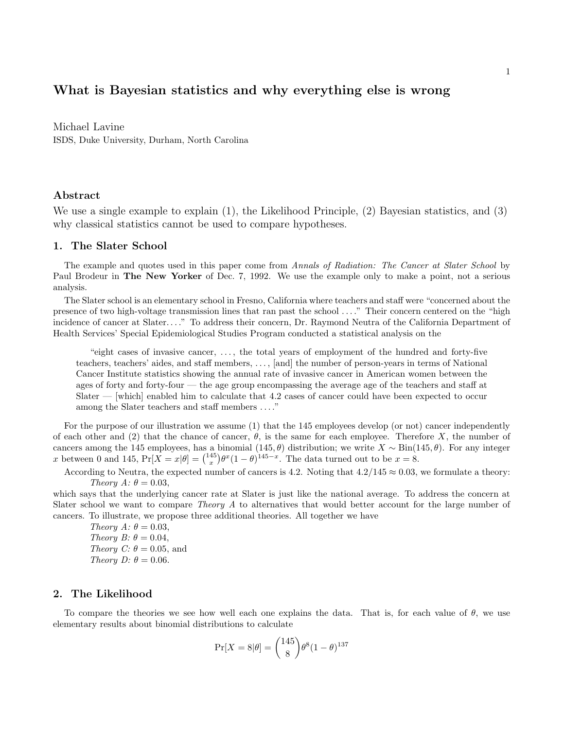# What is Bayesian statistics and why everything else is wrong

Michael Lavine ISDS, Duke University, Durham, North Carolina

## Abstract

We use a single example to explain (1), the Likelihood Principle, (2) Bayesian statistics, and (3) why classical statistics cannot be used to compare hypotheses.

## 1. The Slater School

The example and quotes used in this paper come from Annals of Radiation: The Cancer at Slater School by Paul Brodeur in The New Yorker of Dec. 7, 1992. We use the example only to make a point, not a serious analysis.

The Slater school is an elementary school in Fresno, California where teachers and staff were "concerned about the presence of two high-voltage transmission lines that ran past the school . . . ." Their concern centered on the "high incidence of cancer at Slater. . . ." To address their concern, Dr. Raymond Neutra of the California Department of Health Services' Special Epidemiological Studies Program conducted a statistical analysis on the

"eight cases of invasive cancer, . . . , the total years of employment of the hundred and forty-five teachers, teachers' aides, and staff members, . . . , [and] the number of person-years in terms of National Cancer Institute statistics showing the annual rate of invasive cancer in American women between the ages of forty and forty-four — the age group encompassing the average age of the teachers and staff at Slater — [which] enabled him to calculate that 4.2 cases of cancer could have been expected to occur among the Slater teachers and staff members . . . ."

For the purpose of our illustration we assume (1) that the 145 employees develop (or not) cancer independently of each other and (2) that the chance of cancer,  $\theta$ , is the same for each employee. Therefore X, the number of cancers among the 145 employees, has a binomial (145,  $\theta$ ) distribution; we write  $X \sim \text{Bin}(145, \theta)$ . For any integer x between 0 and 145,  $Pr[X = x|\theta] = {145 \choose x} \theta^x (1-\theta)^{145-x}$ . The data turned out to be  $x = 8$ .

According to Neutra, the expected number of cancers is 4.2. Noting that  $4.2/145 \approx 0.03$ , we formulate a theory: Theory  $A: \theta = 0.03$ ,

which says that the underlying cancer rate at Slater is just like the national average. To address the concern at Slater school we want to compare Theory A to alternatives that would better account for the large number of cancers. To illustrate, we propose three additional theories. All together we have

Theory  $A: \theta = 0.03$ , Theory B:  $\theta = 0.04$ , Theory C:  $\theta = 0.05$ , and Theory D:  $\theta = 0.06$ .

## 2. The Likelihood

To compare the theories we see how well each one explains the data. That is, for each value of  $\theta$ , we use elementary results about binomial distributions to calculate

$$
\Pr[X = 8|\theta] = \binom{145}{8} \theta^{8} (1 - \theta)^{137}
$$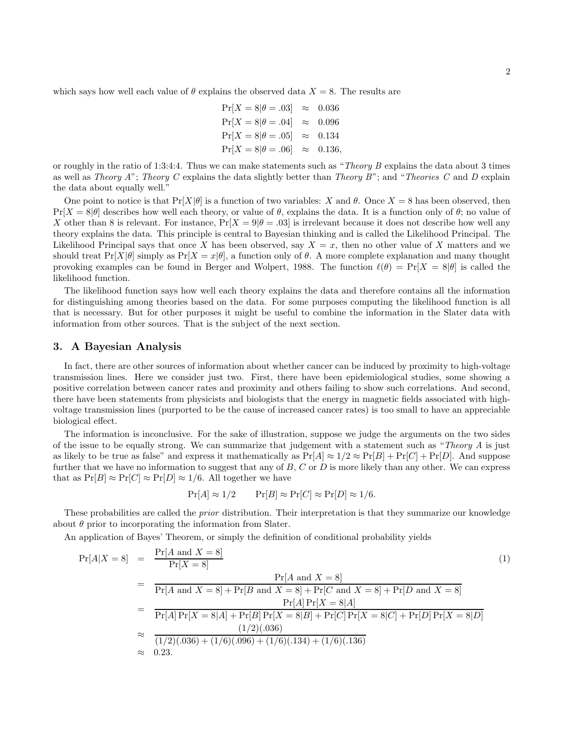which says how well each value of  $\theta$  explains the observed data  $X = 8$ . The results are

$$
Pr[X = 8|\theta = .03] \approx 0.036
$$
  
\n
$$
Pr[X = 8|\theta = .04] \approx 0.096
$$
  
\n
$$
Pr[X = 8|\theta = .05] \approx 0.134
$$
  
\n
$$
Pr[X = 8|\theta = .06] \approx 0.136,
$$

or roughly in the ratio of 1:3:4:4. Thus we can make statements such as "*Theory B* explains the data about 3 times as well as Theory A"; Theory C explains the data slightly better than Theory B"; and "Theories C and D explain the data about equally well."

One point to notice is that  $Pr[X|\theta]$  is a function of two variables: X and  $\theta$ . Once  $X = 8$  has been observed, then  $Pr[X = 8|\theta]$  describes how well each theory, or value of  $\theta$ , explains the data. It is a function only of  $\theta$ ; no value of X other than 8 is relevant. For instance,  $Pr[X = 9|\theta = .03]$  is irrelevant because it does not describe how well any theory explains the data. This principle is central to Bayesian thinking and is called the Likelihood Principal. The Likelihood Principal says that once X has been observed, say  $X = x$ , then no other value of X matters and we should treat  $Pr[X|\theta]$  simply as  $Pr[X = x|\theta]$ , a function only of  $\theta$ . A more complete explanation and many thought provoking examples can be found in Berger and Wolpert, 1988. The function  $\ell(\theta) = \Pr[X = 8|\theta]$  is called the likelihood function.

The likelihood function says how well each theory explains the data and therefore contains all the information for distinguishing among theories based on the data. For some purposes computing the likelihood function is all that is necessary. But for other purposes it might be useful to combine the information in the Slater data with information from other sources. That is the subject of the next section.

## 3. A Bayesian Analysis

In fact, there are other sources of information about whether cancer can be induced by proximity to high-voltage transmission lines. Here we consider just two. First, there have been epidemiological studies, some showing a positive correlation between cancer rates and proximity and others failing to show such correlations. And second, there have been statements from physicists and biologists that the energy in magnetic fields associated with highvoltage transmission lines (purported to be the cause of increased cancer rates) is too small to have an appreciable biological effect.

The information is inconclusive. For the sake of illustration, suppose we judge the arguments on the two sides of the issue to be equally strong. We can summarize that judgement with a statement such as "Theory A is just as likely to be true as false" and express it mathematically as  $Pr[A] \approx 1/2 \approx Pr[B] + Pr[C] + Pr[D]$ . And suppose further that we have no information to suggest that any of  $B$ ,  $C$  or  $D$  is more likely than any other. We can express that as  $Pr[B] \approx Pr[C] \approx Pr[D] \approx 1/6$ . All together we have

$$
\Pr[A] \approx 1/2 \qquad \Pr[B] \approx \Pr[C] \approx \Pr[D] \approx 1/6.
$$

These probabilities are called the *prior* distribution. Their interpretation is that they summarize our knowledge about  $\theta$  prior to incorporating the information from Slater.

An application of Bayes' Theorem, or simply the definition of conditional probability yields

$$
Pr[A|X = 8] = \frac{Pr[A \text{ and } X = 8]}{Pr[X = 8]}
$$
\n
$$
= \frac{Pr[A \text{ and } X = 8] + Pr[B \text{ and } X = 8] + Pr[C \text{ and } X = 8] + Pr[D \text{ and } X = 8]}{Pr[A] Pr[X = 8|A] + Pr[B] Pr[X = 8|B] + Pr[C] Pr[X = 8|C] + Pr[D] Pr[X = 8|D]}
$$
\n
$$
\approx \frac{(1/2)(.036)}{(1/2)(.036) + (1/6)(.096) + (1/6)(.134) + (1/6)(.136)}
$$
\n
$$
\approx 0.23.
$$
\n(1)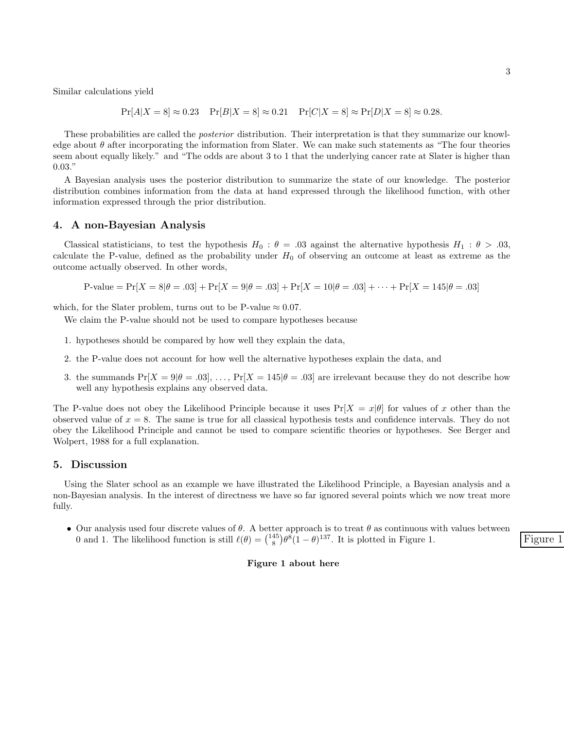Similar calculations yield

$$
Pr[A|X = 8] \approx 0.23
$$
  $Pr[B|X = 8] \approx 0.21$   $Pr[C|X = 8] \approx Pr[D|X = 8] \approx 0.28.$ 

These probabilities are called the posterior distribution. Their interpretation is that they summarize our knowledge about  $\theta$  after incorporating the information from Slater. We can make such statements as "The four theories" seem about equally likely." and "The odds are about 3 to 1 that the underlying cancer rate at Slater is higher than 0.03."

A Bayesian analysis uses the posterior distribution to summarize the state of our knowledge. The posterior distribution combines information from the data at hand expressed through the likelihood function, with other information expressed through the prior distribution.

## 4. A non-Bayesian Analysis

Classical statisticians, to test the hypothesis  $H_0$ :  $\theta = .03$  against the alternative hypothesis  $H_1$ :  $\theta > .03$ , calculate the P-value, defined as the probability under  $H_0$  of observing an outcome at least as extreme as the outcome actually observed. In other words,

$$
P-value = Pr[X = 8|\theta = .03] + Pr[X = 9|\theta = .03] + Pr[X = 10|\theta = .03] + \cdots + Pr[X = 145|\theta = .03]
$$

which, for the Slater problem, turns out to be P-value  $\approx 0.07$ .

We claim the P-value should not be used to compare hypotheses because

- 1. hypotheses should be compared by how well they explain the data,
- 2. the P-value does not account for how well the alternative hypotheses explain the data, and
- 3. the summands  $Pr[X = 9|\theta = .03], \ldots, Pr[X = 145|\theta = .03]$  are irrelevant because they do not describe how well any hypothesis explains any observed data.

The P-value does not obey the Likelihood Principle because it uses  $Pr[X = x|\theta]$  for values of x other than the observed value of  $x = 8$ . The same is true for all classical hypothesis tests and confidence intervals. They do not obey the Likelihood Principle and cannot be used to compare scientific theories or hypotheses. See Berger and Wolpert, 1988 for a full explanation.

## 5. Discussion

Using the Slater school as an example we have illustrated the Likelihood Principle, a Bayesian analysis and a non-Bayesian analysis. In the interest of directness we have so far ignored several points which we now treat more fully.

• Our analysis used four discrete values of  $\theta$ . A better approach is to treat  $\theta$  as continuous with values between 0 and 1. The likelihood function is still  $\ell(\theta) = \binom{145}{8} \theta^8 (1-\theta)^{137}$ . It is plotted in Figure 1.

#### Figure 1 about here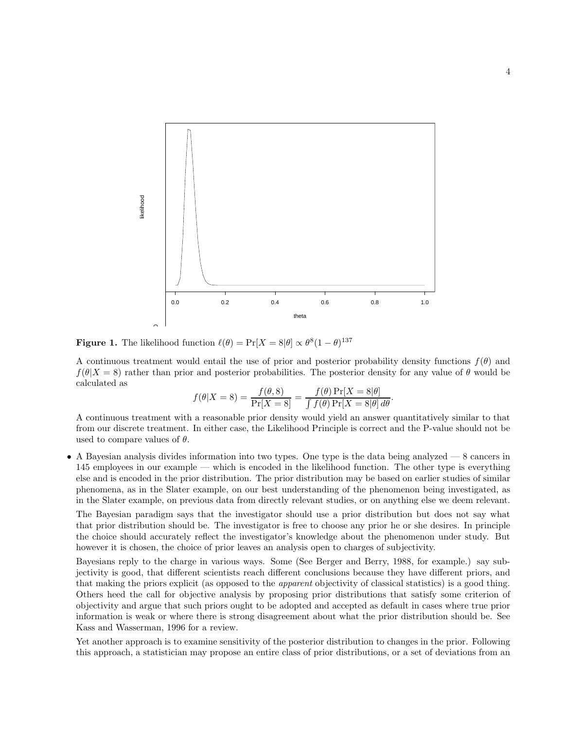

**Figure 1.** The likelihood function  $\ell(\theta) = \Pr[X = 8|\theta] \propto \theta^8(1-\theta)^{137}$ 

A continuous treatment would entail the use of prior and posterior probability density functions  $f(\theta)$  and  $f(\theta|X=8)$  rather than prior and posterior probabilities. The posterior density for any value of  $\theta$  would be calculated as

$$
f(\theta|X=8) = \frac{f(\theta,8)}{\Pr[X=8]} = \frac{f(\theta)\Pr[X=8|\theta]}{\int f(\theta)\Pr[X=8|\theta]\,d\theta}.
$$

A continuous treatment with a reasonable prior density would yield an answer quantitatively similar to that from our discrete treatment. In either case, the Likelihood Principle is correct and the P-value should not be used to compare values of  $\theta$ .

• A Bayesian analysis divides information into two types. One type is the data being analyzed — 8 cancers in 145 employees in our example — which is encoded in the likelihood function. The other type is everything else and is encoded in the prior distribution. The prior distribution may be based on earlier studies of similar phenomena, as in the Slater example, on our best understanding of the phenomenon being investigated, as in the Slater example, on previous data from directly relevant studies, or on anything else we deem relevant.

The Bayesian paradigm says that the investigator should use a prior distribution but does not say what that prior distribution should be. The investigator is free to choose any prior he or she desires. In principle the choice should accurately reflect the investigator's knowledge about the phenomenon under study. But however it is chosen, the choice of prior leaves an analysis open to charges of subjectivity.

Bayesians reply to the charge in various ways. Some (See Berger and Berry, 1988, for example.) say subjectivity is good, that different scientists reach different conclusions because they have different priors, and that making the priors explicit (as opposed to the apparent objectivity of classical statistics) is a good thing. Others heed the call for objective analysis by proposing prior distributions that satisfy some criterion of objectivity and argue that such priors ought to be adopted and accepted as default in cases where true prior information is weak or where there is strong disagreement about what the prior distribution should be. See Kass and Wasserman, 1996 for a review.

Yet another approach is to examine sensitivity of the posterior distribution to changes in the prior. Following this approach, a statistician may propose an entire class of prior distributions, or a set of deviations from an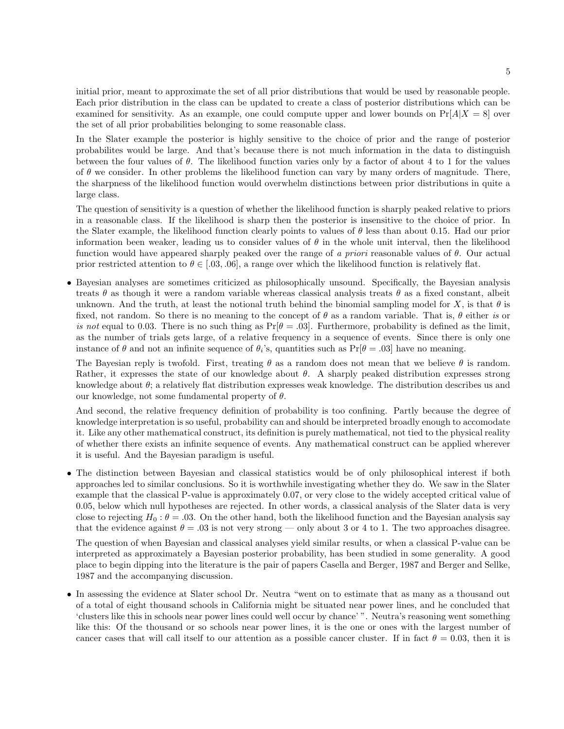initial prior, meant to approximate the set of all prior distributions that would be used by reasonable people. Each prior distribution in the class can be updated to create a class of posterior distributions which can be examined for sensitivity. As an example, one could compute upper and lower bounds on  $Pr[A|X=8]$  over the set of all prior probabilities belonging to some reasonable class.

In the Slater example the posterior is highly sensitive to the choice of prior and the range of posterior probabilites would be large. And that's because there is not much information in the data to distinguish between the four values of θ. The likelihood function varies only by a factor of about 4 to 1 for the values of  $\theta$  we consider. In other problems the likelihood function can vary by many orders of magnitude. There, the sharpness of the likelihood function would overwhelm distinctions between prior distributions in quite a large class.

The question of sensitivity is a question of whether the likelihood function is sharply peaked relative to priors in a reasonable class. If the likelihood is sharp then the posterior is insensitive to the choice of prior. In the Slater example, the likelihood function clearly points to values of  $\theta$  less than about 0.15. Had our prior information been weaker, leading us to consider values of  $\theta$  in the whole unit interval, then the likelihood function would have appeared sharply peaked over the range of a priori reasonable values of  $\theta$ . Our actual prior restricted attention to  $\theta \in [0.03, 0.06]$ , a range over which the likelihood function is relatively flat.

• Bayesian analyses are sometimes criticized as philosophically unsound. Specifically, the Bayesian analysis treats  $\theta$  as though it were a random variable whereas classical analysis treats  $\theta$  as a fixed constant, albeit unknown. And the truth, at least the notional truth behind the binomial sampling model for X, is that  $\theta$  is fixed, not random. So there is no meaning to the concept of  $\theta$  as a random variable. That is,  $\theta$  either is or is not equal to 0.03. There is no such thing as  $Pr[\theta = .03]$ . Furthermore, probability is defined as the limit, as the number of trials gets large, of a relative frequency in a sequence of events. Since there is only one instance of  $\theta$  and not an infinite sequence of  $\theta_i$ 's, quantities such as  $Pr[\theta = .03]$  have no meaning.

The Bayesian reply is twofold. First, treating  $\theta$  as a random does not mean that we believe  $\theta$  is random. Rather, it expresses the state of our knowledge about  $\theta$ . A sharply peaked distribution expresses strong knowledge about  $\theta$ ; a relatively flat distribution expresses weak knowledge. The distribution describes us and our knowledge, not some fundamental property of  $\theta$ .

And second, the relative frequency definition of probability is too confining. Partly because the degree of knowledge interpretation is so useful, probability can and should be interpreted broadly enough to accomodate it. Like any other mathematical construct, its definition is purely mathematical, not tied to the physical reality of whether there exists an infinite sequence of events. Any mathematical construct can be applied wherever it is useful. And the Bayesian paradigm is useful.

• The distinction between Bayesian and classical statistics would be of only philosophical interest if both approaches led to similar conclusions. So it is worthwhile investigating whether they do. We saw in the Slater example that the classical P-value is approximately 0.07, or very close to the widely accepted critical value of 0.05, below which null hypotheses are rejected. In other words, a classical analysis of the Slater data is very close to rejecting  $H_0: \theta = .03$ . On the other hand, both the likelihood function and the Bayesian analysis say that the evidence against  $\theta = .03$  is not very strong — only about 3 or 4 to 1. The two approaches disagree.

The question of when Bayesian and classical analyses yield similar results, or when a classical P-value can be interpreted as approximately a Bayesian posterior probability, has been studied in some generality. A good place to begin dipping into the literature is the pair of papers Casella and Berger, 1987 and Berger and Sellke, 1987 and the accompanying discussion.

• In assessing the evidence at Slater school Dr. Neutra "went on to estimate that as many as a thousand out of a total of eight thousand schools in California might be situated near power lines, and he concluded that 'clusters like this in schools near power lines could well occur by chance' ". Neutra's reasoning went something like this: Of the thousand or so schools near power lines, it is the one or ones with the largest number of cancer cases that will call itself to our attention as a possible cancer cluster. If in fact  $\theta = 0.03$ , then it is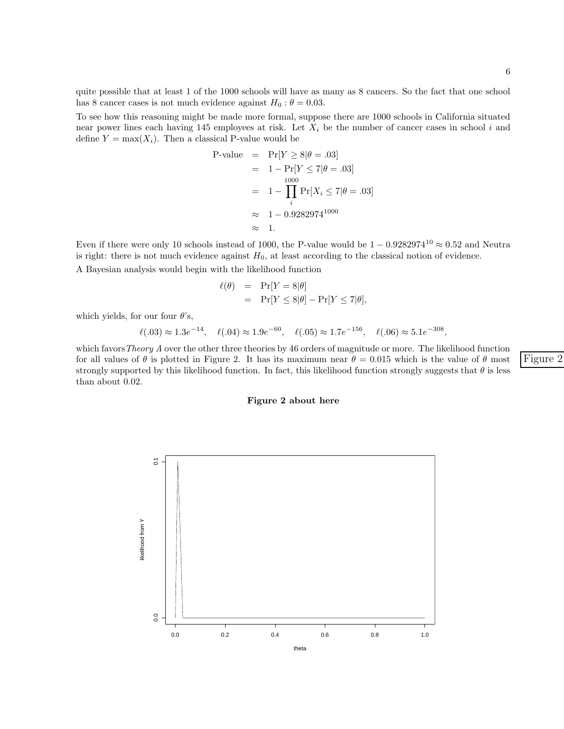quite possible that at least 1 of the 1000 schools will have as many as 8 cancers. So the fact that one school has 8 cancer cases is not much evidence against  $H_0$  :  $\theta = 0.03$ .

To see how this reasoning might be made more formal, suppose there are 1000 schools in California situated near power lines each having 145 employees at risk. Let  $X_i$  be the number of cancer cases in school i and define  $Y = \max(X_i)$ . Then a classical P-value would be

$$
\begin{array}{rcl}\n\text{P-value} & = & \Pr[Y \ge 8 | \theta = .03] \\
& = & 1 - \Pr[Y \le 7 | \theta = .03] \\
& = & 1 - \prod_{i} 1 - \prod_{i} \Pr[X_i \le 7 | \theta = .03] \\
& \approx & 1 - 0.9282974^{1000} \\
& \approx & 1.\n\end{array}
$$

Even if there were only 10 schools instead of 1000, the P-value would be  $1 - 0.9282974^{10} \approx 0.52$  and Neutra is right: there is not much evidence against  $H_0$ , at least according to the classical notion of evidence.

A Bayesian analysis would begin with the likelihood function

$$
\ell(\theta) = \Pr[Y = 8|\theta] \n= \Pr[Y \le 8|\theta] - \Pr[Y \le 7|\theta],
$$

which yields, for our four  $\theta$ 's,

$$
\ell(.03) \approx 1.3e^{-14}
$$
,  $\ell(.04) \approx 1.9e^{-60}$ ,  $\ell(.05) \approx 1.7e^{-156}$ ,  $\ell(.06) \approx 5.1e^{-308}$ ,

which favors Theory A over the other three theories by 46 orders of magnitude or more. The likelihood function for all values of  $\theta$  is plotted in Figure 2. It has its maximum near  $\theta = 0.015$  which is the value of  $\theta$  most Figure 2 strongly supported by this likelihood function. In fact, this likelihood function strongly suggests that  $\theta$  is less than about 0.02.

#### Figure 2 about here